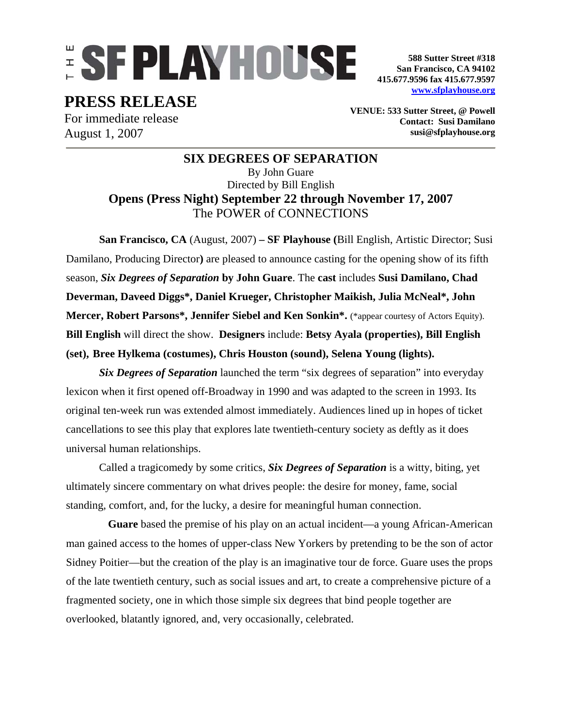# **ESFPLAYHOUSE**

**588 Sutter Street #318 San Francisco, CA 94102 415.677.9596 fax 415.677.9597 www.sfplayhouse.org**

## **PRESS RELEASE**

For immediate release August 1, 2007

**VENUE: 533 Sutter Street, @ Powell Contact: Susi Damilano susi@sfplayhouse.org** 

## **SIX DEGREES OF SEPARATION**  By John Guare Directed by Bill English **Opens (Press Night) September 22 through November 17, 2007**  The POWER of CONNECTIONS

**San Francisco, CA** (August, 2007) **– SF Playhouse (**Bill English, Artistic Director; Susi Damilano, Producing Director**)** are pleased to announce casting for the opening show of its fifth season, *Six Degrees of Separation* **by John Guare**. The **cast** includes **Susi Damilano, Chad Deverman, Daveed Diggs\*, Daniel Krueger, Christopher Maikish, Julia McNeal\*, John Mercer, Robert Parsons\*, Jennifer Siebel and Ken Sonkin\*.** (\*appear courtesy of Actors Equity). **Bill English** will direct the show. **Designers** include: **Betsy Ayala (properties), Bill English (set), Bree Hylkema (costumes), Chris Houston (sound), Selena Young (lights).** 

*Six Degrees of Separation* launched the term "six degrees of separation" into everyday lexicon when it first opened off-Broadway in 1990 and was adapted to the screen in 1993. Its original ten-week run was extended almost immediately. Audiences lined up in hopes of ticket cancellations to see this play that explores late twentieth-century society as deftly as it does universal human relationships.

Called a tragicomedy by some critics, *Six Degrees of Separation* is a witty, biting, yet ultimately sincere commentary on what drives people: the desire for money, fame, social standing, comfort, and, for the lucky, a desire for meaningful human connection.

**Guare** based the premise of his play on an actual incident—a young African-American man gained access to the homes of upper-class New Yorkers by pretending to be the son of actor Sidney Poitier—but the creation of the play is an imaginative tour de force. Guare uses the props of the late twentieth century, such as social issues and art, to create a comprehensive picture of a fragmented society, one in which those simple six degrees that bind people together are overlooked, blatantly ignored, and, very occasionally, celebrated.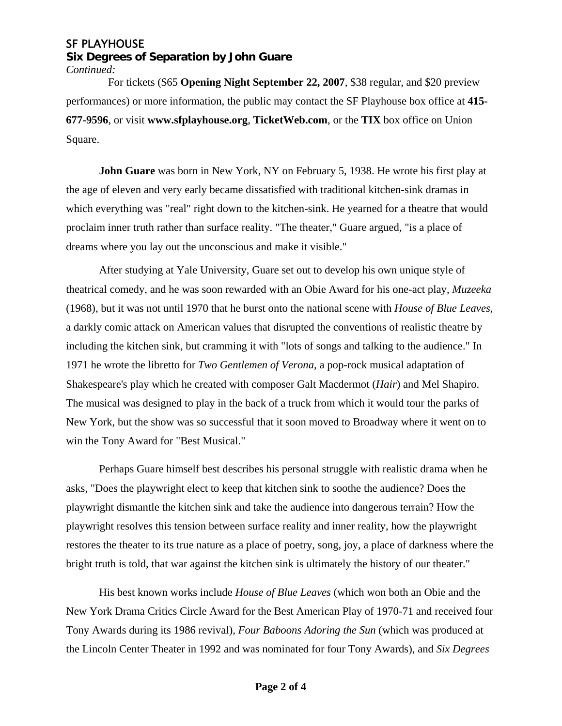## SF PLAYHOUSE

**Six Degrees of Separation by John Guare** *Continued:*

 For tickets (\$65 **Opening Night September 22, 2007**, \$38 regular, and \$20 preview performances) or more information, the public may contact the SF Playhouse box office at **415- 677-9596**, or visit **www.sfplayhouse.org**, **TicketWeb.com**, or the **TIX** box office on Union Square.

**John Guare** was born in New York, NY on February 5, 1938. He wrote his first play at the age of eleven and very early became dissatisfied with traditional kitchen-sink dramas in which everything was "real" right down to the kitchen-sink. He yearned for a theatre that would proclaim inner truth rather than surface reality. "The theater," Guare argued, "is a place of dreams where you lay out the unconscious and make it visible."

After studying at Yale University, Guare set out to develop his own unique style of theatrical comedy, and he was soon rewarded with an Obie Award for his one-act play, *Muzeeka* (1968), but it was not until 1970 that he burst onto the national scene with *House of Blue Leaves*, a darkly comic attack on American values that disrupted the conventions of realistic theatre by including the kitchen sink, but cramming it with "lots of songs and talking to the audience." In 1971 he wrote the libretto for *Two Gentlemen of Verona,* a pop-rock musical adaptation of Shakespeare's play which he created with composer Galt Macdermot (*Hair*) and Mel Shapiro. The musical was designed to play in the back of a truck from which it would tour the parks of New York, but the show was so successful that it soon moved to Broadway where it went on to win the Tony Award for "Best Musical."

Perhaps Guare himself best describes his personal struggle with realistic drama when he asks, "Does the playwright elect to keep that kitchen sink to soothe the audience? Does the playwright dismantle the kitchen sink and take the audience into dangerous terrain? How the playwright resolves this tension between surface reality and inner reality, how the playwright restores the theater to its true nature as a place of poetry, song, joy, a place of darkness where the bright truth is told, that war against the kitchen sink is ultimately the history of our theater."

His best known works include *House of Blue Leaves* (which won both an Obie and the New York Drama Critics Circle Award for the Best American Play of 1970-71 and received four Tony Awards during its 1986 revival), *Four Baboons Adoring the Sun* (which was produced at the Lincoln Center Theater in 1992 and was nominated for four Tony Awards), and *Six Degrees*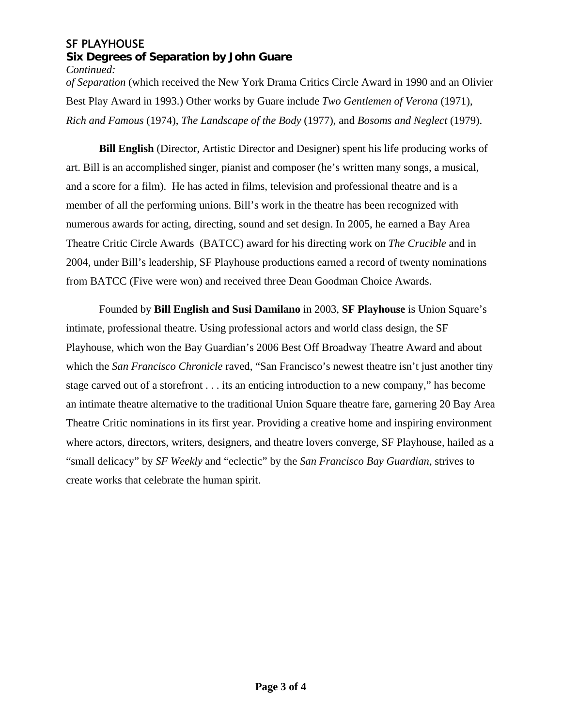### SF PLAYHOUSE **Six Degrees of Separation by John Guare** *Continued:*

*of Separation* (which received the New York Drama Critics Circle Award in 1990 and an Olivier Best Play Award in 1993.) Other works by Guare include *Two Gentlemen of Verona* (1971), *Rich and Famous* (1974), *The Landscape of the Body* (1977), and *Bosoms and Neglect* (1979).

**Bill English** (Director, Artistic Director and Designer) spent his life producing works of art. Bill is an accomplished singer, pianist and composer (he's written many songs, a musical, and a score for a film). He has acted in films, television and professional theatre and is a member of all the performing unions. Bill's work in the theatre has been recognized with numerous awards for acting, directing, sound and set design. In 2005, he earned a Bay Area Theatre Critic Circle Awards (BATCC) award for his directing work on *The Crucible* and in 2004, under Bill's leadership, SF Playhouse productions earned a record of twenty nominations from BATCC (Five were won) and received three Dean Goodman Choice Awards.

Founded by **Bill English and Susi Damilano** in 2003, **SF Playhouse** is Union Square's intimate, professional theatre. Using professional actors and world class design, the SF Playhouse, which won the Bay Guardian's 2006 Best Off Broadway Theatre Award and about which the *San Francisco Chronicle* raved, "San Francisco's newest theatre isn't just another tiny stage carved out of a storefront . . . its an enticing introduction to a new company," has become an intimate theatre alternative to the traditional Union Square theatre fare, garnering 20 Bay Area Theatre Critic nominations in its first year. Providing a creative home and inspiring environment where actors, directors, writers, designers, and theatre lovers converge, SF Playhouse, hailed as a "small delicacy" by *SF Weekly* and "eclectic" by the *San Francisco Bay Guardian*, strives to create works that celebrate the human spirit.